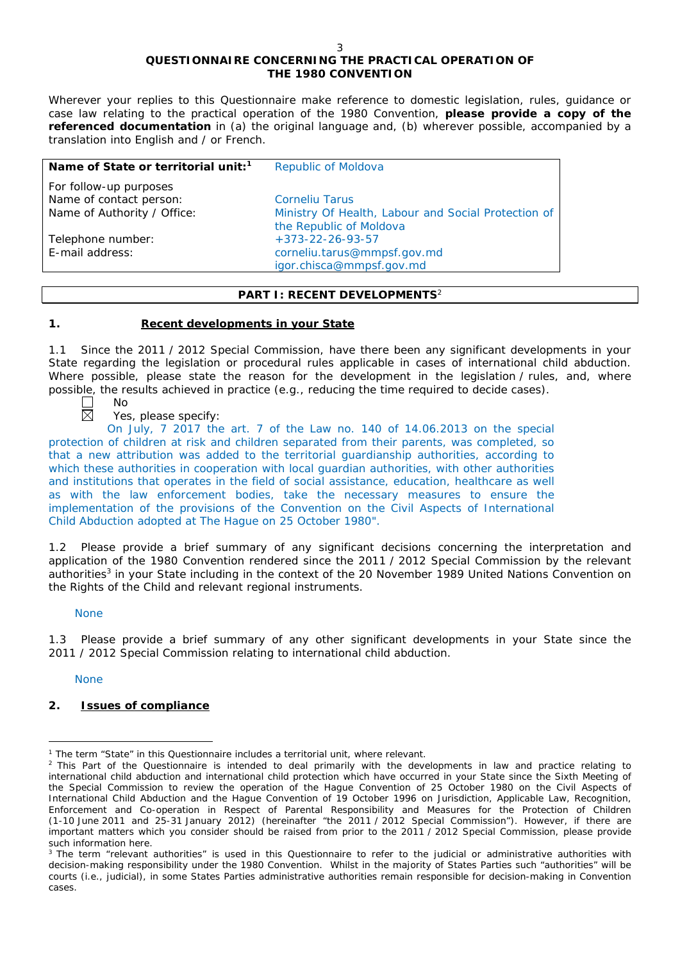# **QUESTIONNAIRE CONCERNING THE PRACTICAL OPERATION OF THE 1980 CONVENTION**

*Wherever your replies to this Questionnaire make reference to domestic legislation, rules, guidance or case law relating to the practical operation of the 1980 Convention, please provide a copy of the referenced documentation in (a) the original language and, (b) wherever possible, accompanied by a translation into English and / or French.* 

| Name of State or territorial unit: <sup>1</sup><br>Republic of Moldova                                        |  |
|---------------------------------------------------------------------------------------------------------------|--|
| For follow-up purposes<br>Name of contact person:<br><b>Corneliu Tarus</b>                                    |  |
| Name of Authority / Office:<br>Ministry Of Health, Labour and Social Protection of<br>the Republic of Moldova |  |
| $+373-22-26-93-57$<br>Telephone number:                                                                       |  |
| E-mail address:<br>corneliu.tarus@mmpsf.gov.md<br>igor.chisca@mmpsf.gov.md                                    |  |

### **PART I: RECENT DEVELOPMENTS**<sup>2</sup>

### **1. Recent developments in your State**

1.1 Since the 2011 / 2012 Special Commission, have there been any significant developments in your State regarding the legislation or procedural rules applicable in cases of international child abduction. Where possible, please state the reason for the development in the legislation / rules, and, where possible, the results achieved in practice (*e.g.*, reducing the time required to decide cases).

闵

No

Yes, please specify:

On July, 7 2017 the art. 7 of the Law no. 140 of 14.06.2013 on the special protection of children at risk and children separated from their parents, was completed, so that a new attribution was added to the territorial guardianship authorities, according to which these authorities in cooperation with local guardian authorities, with other authorities and institutions that operates in the field of social assistance, education, healthcare as well as with the law enforcement bodies, take the necessary measures to ensure the implementation of the provisions of the Convention on the Civil Aspects of International Child Abduction adopted at The Hague on 25 October 1980".

1.2 Please provide a brief summary of any significant decisions concerning the interpretation and application of the 1980 Convention rendered since the 2011 / 2012 Special Commission by the relevant authorities<sup>3</sup> in your State including in the context of the 20 November 1989 United Nations Convention on the Rights of the Child and relevant regional instruments.

### None

1.3 Please provide a brief summary of any other significant developments in your State since the 2011 / 2012 Special Commission relating to international child abduction.

None

# **2. Issues of compliance**

 $\overline{a}$ <sup>1</sup> The term "State" in this Questionnaire includes a territorial unit, where relevant.

<sup>&</sup>lt;sup>2</sup> This Part of the Questionnaire is intended to deal primarily with the developments in law and practice relating to international child abduction and international child protection which have occurred in your State since the Sixth Meeting of the Special Commission to review the operation of the *Hague Convention of 25 October 1980 on the Civil Aspects of International Child Abduction* and the *Hague Convention of 19 October 1996 on Jurisdiction, Applicable Law, Recognition, Enforcement and Co-operation in Respect of Parental Responsibility and Measures for the Protection of Children* (1-10 June 2011 and 25-31 January 2012) (hereinafter "the 2011 / 2012 Special Commission"). However, if there are important matters which you consider should be raised from *prior to* the 2011 / 2012 Special Commission, please provide such information here.

<sup>&</sup>lt;sup>3</sup> The term "relevant authorities" is used in this Questionnaire to refer to the judicial or administrative authorities with decision-making responsibility under the 1980 Convention. Whilst in the majority of States Parties such "authorities" will be courts (*i.e.*, judicial), in some States Parties administrative authorities remain responsible for decision-making in Convention cases.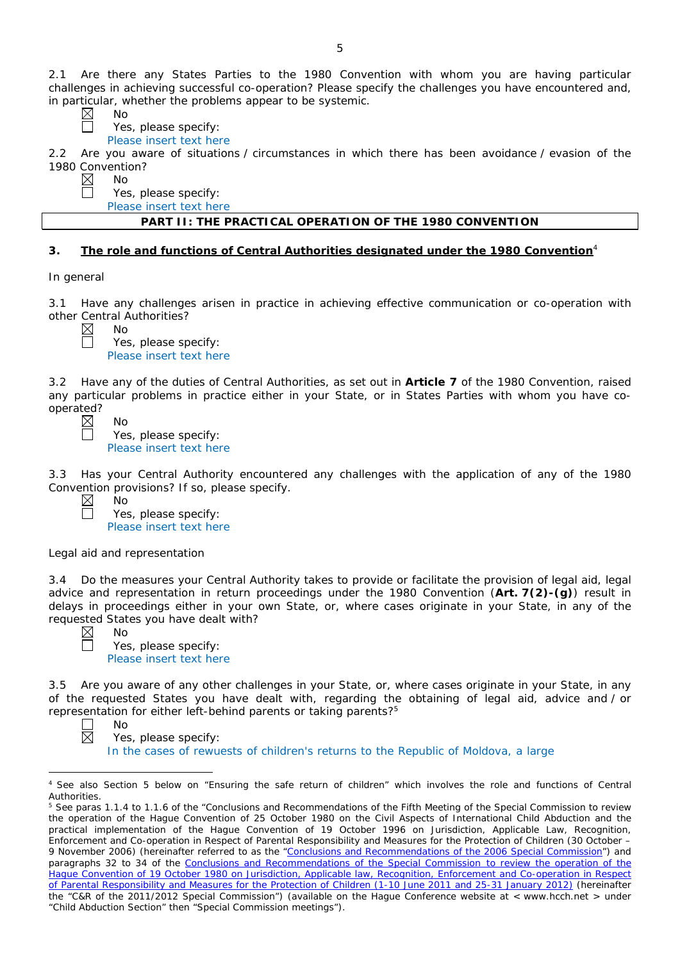2.1 Are there any States Parties to the 1980 Convention with whom you are having particular challenges in achieving successful co-operation? Please specify the challenges you have encountered and, in particular, whether the problems appear to be systemic.

No

Yes, please specify:

Please insert text here

2.2 Are you aware of situations / circumstances in which there has been avoidance / evasion of the 1980 Convention?<br>  $\boxtimes$  No<br>  $\Box$  Yes, pl

No

Yes, please specify:

Please insert text here

### **PART II: THE PRACTICAL OPERATION OF THE 1980 CONVENTION**

### **3. The role and functions of Central Authorities designated under the 1980 Convention**<sup>4</sup>

*In general*

3.1 Have any challenges arisen in practice in achieving effective communication or co-operation with other Central Authorities?

No Yes, please specify: Please insert text here

3.2 Have any of the duties of Central Authorities, as set out in **Article 7** of the 1980 Convention, raised any particular problems in practice either in your State, or in States Parties with whom you have cooperated?

 $N<sub>0</sub>$ Yes, please specify: Please insert text here

3.3 Has your Central Authority encountered any challenges with the application of any of the 1980 Convention provisions? If so, please specify.

No Yes, please specify: Please insert text here

### *Legal aid and representation*

3.4 Do the measures your Central Authority takes to provide or facilitate the provision of legal aid, legal advice and representation in return proceedings under the 1980 Convention (**Art. 7(2)-(g)**) result in delays in proceedings either in your own State, or, where cases originate in your State, in any of the requested States you have dealt with?

No Yes, please specify: Please insert text here

3.5 Are you aware of any other challenges in your State, or, where cases originate in your State, in any of the requested States you have dealt with, regarding the obtaining of legal aid, advice and / or representation for either left-behind parents or taking parents?5

No Yes, please specify: In the cases of rewuests of children's returns to the Republic of Moldova, a large

 $\overline{a}$ <sup>4</sup> See also Section 5 below on "Ensuring the safe return of children" which involves the role and functions of Central Authorities.

<sup>&</sup>lt;sup>5</sup> See paras 1.1.4 to 1.1.6 of the "Conclusions and Recommendations of the Fifth Meeting of the Special Commission to review the operation of the *Hague Convention of 25 October 1980 on the Civil Aspects of International Child Abduction* and the practical implementation of the *Hague Convention of 19 October 1996 on Jurisdiction, Applicable Law, Recognition*, *Enforcement and Co-operation in Respect of Parental Responsibility and Measures for the Protection of Children* (30 October – 9 November 2006) (hereinafter referred to as the ["Conclusions and Recommendations of the 2006 Special Commission"](https://assets.hcch.net/upload/concl28sc5_e.pdf)) and paragraphs 32 to 34 of the [Conclusions and Recommendations of the Special Commission](https://assets.hcch.net/upload/wop/concl28sc6_e.pdf) to review the operation of the Hague Convention of *[19 October 1980 on Jurisdiction, Applicable law, Recognition, Enforcement and Co-operation in Respect](https://assets.hcch.net/upload/wop/concl28sc6_e.pdf)  [of Parental Responsibility and Measures for the Protection of Children](https://assets.hcch.net/upload/wop/concl28sc6_e.pdf)* (1-10 June 2011 and 25-31 January 2012) (hereinafter the "C&R of the 2011/2012 Special Commission") (available on the Hague Conference website at < www.hcch.net > under "Child Abduction Section" then "Special Commission meetings").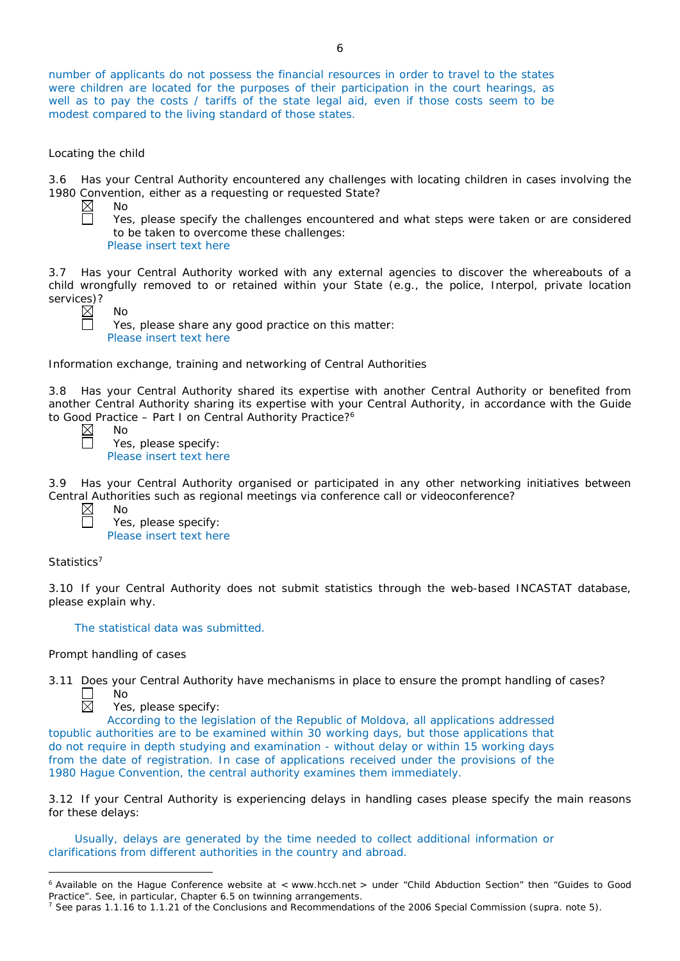number of applicants do not possess the financial resources in order to travel to the states were children are located for the purposes of their participation in the court hearings, as well as to pay the costs / tariffs of the state legal aid, even if those costs seem to be modest compared to the living standard of those states.

#### *Locating the child*

3.6 Has your Central Authority encountered any challenges with locating children in cases involving the 1980 Convention, either as a requesting or requested State?

 $\boxtimes$ No 靣

Yes, please specify the challenges encountered and what steps were taken or are considered to be taken to overcome these challenges:

Please insert text here

3.7 Has your Central Authority worked with any external agencies to discover the whereabouts of a child wrongfully removed to or retained within your State (*e.g.*, the police, Interpol, private location services)?

No

Yes, please share any good practice on this matter: Please insert text here

*Information exchange, training and networking of Central Authorities*

3.8 Has your Central Authority shared its expertise with another Central Authority or benefited from another Central Authority sharing its expertise with your Central Authority, in accordance with the Guide to Good Practice - Part I on Central Authority Practice?<sup>6</sup>

 $\boxtimes$ П

 $\Box$  $\overline{\boxtimes}$ 

No Yes, please specify: Please insert text here

3.9 Has your Central Authority organised or participated in any other networking initiatives between Central Authorities such as regional meetings via conference call or videoconference?

| Nο                      |
|-------------------------|
| Yes, please specify:    |
| Please insert text here |

### *Statistics*<sup>7</sup>

 $\overline{a}$ 

3.10 If your Central Authority does not submit statistics through the web-based INCASTAT database, please explain why.

The statistical data was submitted.

### *Prompt handling of cases*

3.11 Does your Central Authority have mechanisms in place to ensure the prompt handling of cases?

No

Yes, please specify:

According to the legislation of the Republic of Moldova, all applications addressed topublic authorities are to be examined within 30 working days, but those applications that do not require in depth studying and examination - without delay or within 15 working days from the date of registration. In case of applications received under the provisions of the 1980 Hague Convention, the central authority examines them immediately.

3.12 If your Central Authority is experiencing delays in handling cases please specify the main reasons for these delays:

Usually, delays are generated by the time needed to collect additional information or clarifications from different authorities in the country and abroad.

<sup>6</sup> Available on the Hague Conference website at < www.hcch.net > under "Child Abduction Section" then "Guides to Good Practice". See, in particular, Chapter 6.5 on twinning arrangements.

<sup>7</sup> See paras 1.1.16 to 1.1.21 of the Conclusions and Recommendations of the 2006 Special Commission (*supra.* note 5).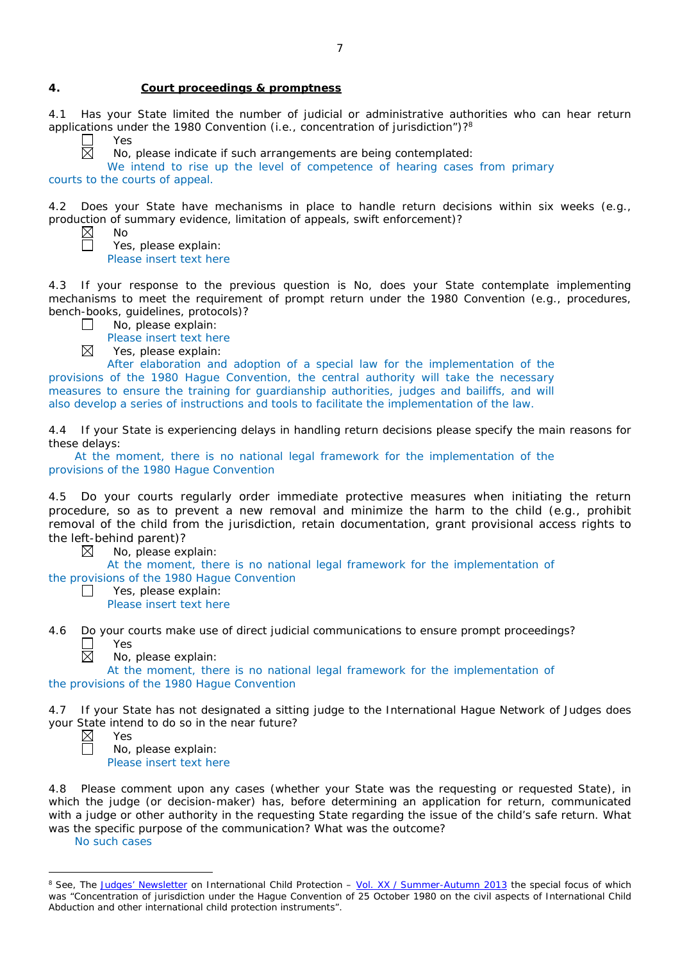#### **4. Court proceedings & promptness**

4.1 Has your State limited the number of judicial or administrative authorities who can hear return applications under the 1980 Convention (*i.e.*, concentration of jurisdiction")?8

Yes 岗

No

No, please indicate if such arrangements are being contemplated:

We intend to rise up the level of competence of hearing cases from primary courts to the courts of appeal.

4.2 Does your State have mechanisms in place to handle return decisions within six weeks (*e.g.*, production of summary evidence, limitation of appeals, swift enforcement)?

Yes, please explain: Please insert text here

4.3 If your response to the previous question is No, does your State contemplate implementing mechanisms to meet the requirement of prompt return under the 1980 Convention (*e.g.*, procedures, bench-books, guidelines, protocols)?

No, please explain:  $\Box$ 

Please insert text here

 $\boxtimes$ Yes, please explain:

After elaboration and adoption of a special law for the implementation of the provisions of the 1980 Hague Convention, the central authority will take the necessary measures to ensure the training for guardianship authorities, judges and bailiffs, and will also develop a series of instructions and tools to facilitate the implementation of the law.

4.4 If your State is experiencing delays in handling return decisions please specify the main reasons for these delays:

At the moment, there is no national legal framework for the implementation of the provisions of the 1980 Hague Convention

4.5 Do your courts regularly order immediate protective measures when initiating the return procedure, so as to prevent a new removal and minimize the harm to the child (*e.g.*, prohibit removal of the child from the jurisdiction, retain documentation, grant provisional access rights to the left-behind parent)?

⊠ No, please explain:

At the moment, there is no national legal framework for the implementation of the provisions of the 1980 Hague Convention

Yes, please explain:  $\Box$ Please insert text here

4.6 Do your courts make use of direct judicial communications to ensure prompt proceedings?  $\Box$ Yes  $\boxtimes$ 

No, please explain:

At the moment, there is no national legal framework for the implementation of the provisions of the 1980 Hague Convention

4.7 If your State has not designated a sitting judge to the International Hague Network of Judges does your State intend to do so in the near future?

 $\overline{a}$ 

No, please explain: Please insert text here

4.8 Please comment upon any cases (whether your State was the requesting or requested State), in which the judge (or decision-maker) has, before determining an application for return, communicated with a judge or other authority in the requesting State regarding the issue of the child's safe return. What was the specific purpose of the communication? What was the outcome?

No such cases

Yes

<sup>&</sup>lt;sup>8</sup> See, *The [Judges' Newsletter](https://www.hcch.net/en/instruments/conventions/publications2/judges-newsletter)* on International Child Protection – Vol. XX / [Summer-Autumn 2013](https://assets.hcch.net/upload/newsletter/nl2013tome20en.pdf) the special focus of which was "Concentration of jurisdiction under the *Hague Convention of 25 October 1980 on the civil aspects of International Child Abduction* and other international child protection instruments".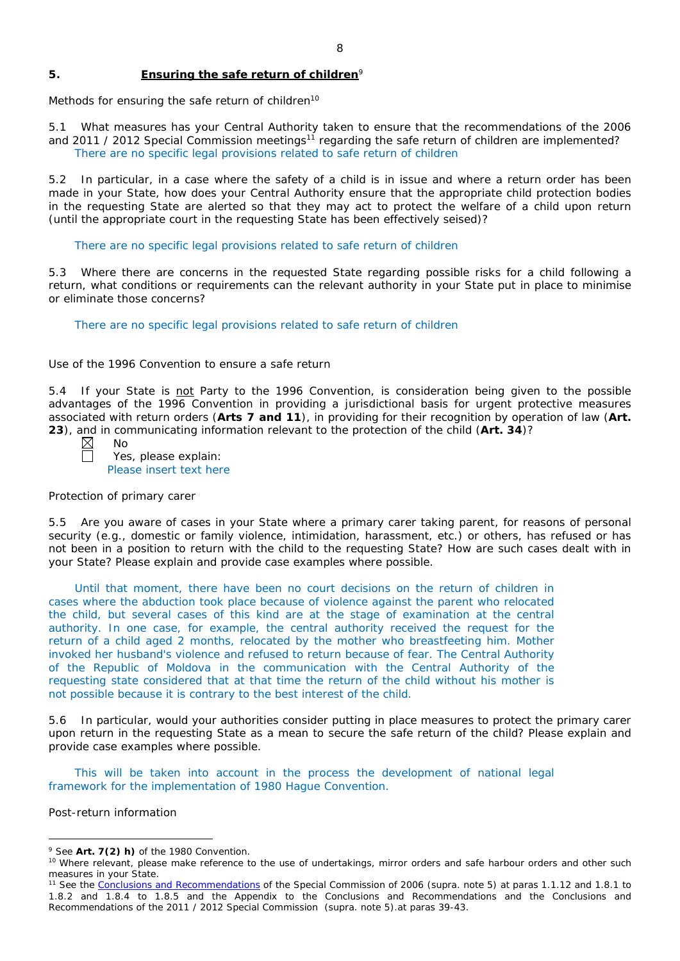### **5. Ensuring the safe return of children**<sup>9</sup>

*Methods for ensuring the safe return of children*<sup>10</sup>

5.1 What measures has your Central Authority taken to ensure that the recommendations of the 2006 and 2011 / 2012 Special Commission meetings<sup>11</sup> regarding the safe return of children are implemented? There are no specific legal provisions related to safe return of children

5.2 In particular, in a case where the safety of a child is in issue and where a return order has been made in your State, how does your Central Authority ensure that the appropriate child protection bodies in the *requesting* State are alerted so that they may act to protect the welfare of a child upon return (until the appropriate court in the requesting State has been effectively seised)?

There are no specific legal provisions related to safe return of children

5.3 Where there are concerns in the requested State regarding possible risks for a child following a return, what conditions or requirements can the relevant authority in your State put in place to minimise or eliminate those concerns?

There are no specific legal provisions related to safe return of children

#### *Use of the 1996 Convention to ensure a safe return*

5.4 If your State is not Party to the 1996 Convention, is consideration being given to the possible advantages of the 1996 Convention in providing a jurisdictional basis for urgent protective measures associated with return orders (**Arts 7 and 11**), in providing for their recognition by operation of law (**Art. 23**), and in communicating information relevant to the protection of the child (**Art. 34**)?

No Yes, please explain: Please insert text here

### *Protection of primary carer*

5.5 Are you aware of cases in your State where a primary carer taking parent, for reasons of personal security (*e.g.*, domestic or family violence, intimidation, harassment, etc.) or others, has refused or has not been in a position to return with the child to the requesting State? How are such cases dealt with in your State? Please explain and provide case examples where possible.

Until that moment, there have been no court decisions on the return of children in cases where the abduction took place because of violence against the parent who relocated the child, but several cases of this kind are at the stage of examination at the central authority. In one case, for example, the central authority received the request for the return of a child aged 2 months, relocated by the mother who breastfeeting him. Mother invoked her husband's violence and refused to return because of fear. The Central Authority of the Republic of Moldova in the communication with the Central Authority of the requesting state considered that at that time the return of the child without his mother is not possible because it is contrary to the best interest of the child.

5.6 In particular, would your authorities consider putting in place measures to protect the primary carer upon return in the requesting State as a mean to secure the safe return of the child? Please explain and provide case examples where possible.

This will be taken into account in the process the development of national legal framework for the implementation of 1980 Hague Convention.

*Post-return information*

 $\overline{a}$ 

<sup>9</sup> See **Art. 7(2)** *h)* of the 1980 Convention.

<sup>&</sup>lt;sup>10</sup> Where relevant, please make reference to the use of undertakings, mirror orders and safe harbour orders and other such measures in your State.

<sup>11</sup> See the [Conclusions and Recommendations](https://assets.hcch.net/upload/concl28sc5_e.pdf) of the Special Commission of 2006 (*supra.* note 5) at paras 1.1.12 and 1.8.1 to 1.8.2 and 1.8.4 to 1.8.5 and the Appendix to the Conclusions and Recommendations and the [Conclusions and](https://assets.hcch.net/upload/wop/concl28sc6_e.pdf)  [Recommendations of the 2011](https://assets.hcch.net/upload/wop/concl28sc6_e.pdf) / 2012 Special Commission (*supra.* note 5).at paras 39-43.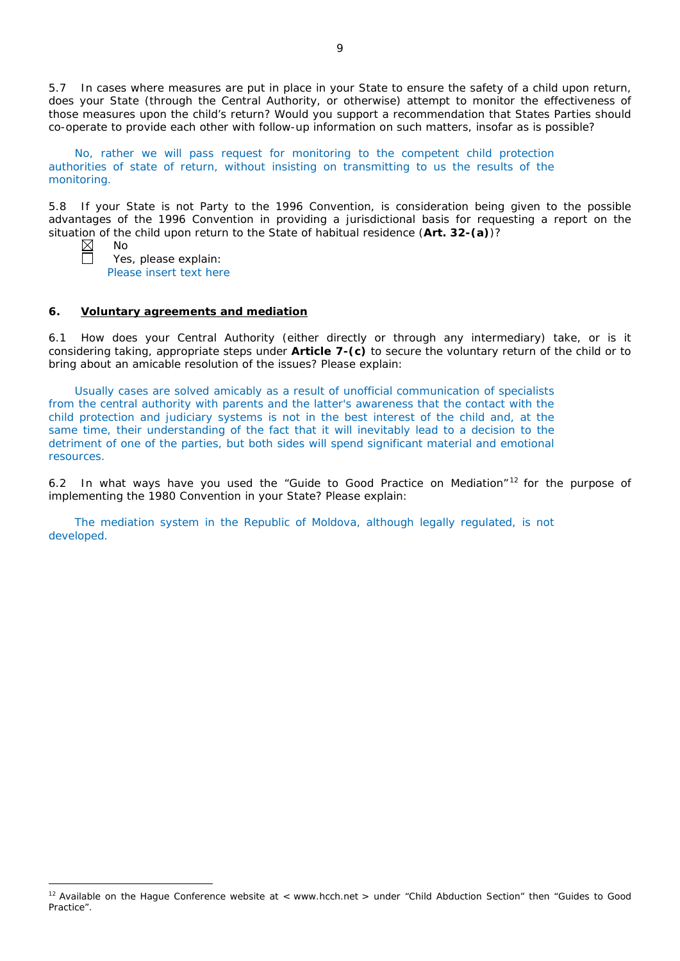5.7 In cases where measures are put in place in your State to ensure the safety of a child upon return, does your State (through the Central Authority, or otherwise) attempt to monitor the effectiveness of those measures upon the child's return? Would you support a recommendation that States Parties should co-operate to provide each other with follow-up information on such matters, insofar as is possible?

No, rather we will pass request for monitoring to the competent child protection authorities of state of return, without insisting on transmitting to us the results of the monitoring.

5.8 If your State is not Party to the 1996 Convention, is consideration being given to the possible advantages of the 1996 Convention in providing a jurisdictional basis for requesting a report on the situation of the child upon return to the State of habitual residence (**Art. 32-(a)**)?

 $\overline{a}$ 

No

Yes, please explain: Please insert text here

#### **6. Voluntary agreements and mediation**

6.1 How does your Central Authority (either directly or through any intermediary) take, or is it considering taking, appropriate steps under **Article 7-(c)** to secure the voluntary return of the child or to bring about an amicable resolution of the issues? Please explain:

Usually cases are solved amicably as a result of unofficial communication of specialists from the central authority with parents and the latter's awareness that the contact with the child protection and judiciary systems is not in the best interest of the child and, at the same time, their understanding of the fact that it will inevitably lead to a decision to the detriment of one of the parties, but both sides will spend significant material and emotional resources.

6.2 In what ways have you used the "Guide to Good Practice on Mediation" <sup>12</sup> for the purpose of implementing the 1980 Convention in your State? Please explain:

The mediation system in the Republic of Moldova, although legally regulated, is not developed.

 $12$  Available on the Hague Conference website at < www.hcch.net > under "Child Abduction Section" then "Guides to Good Practice".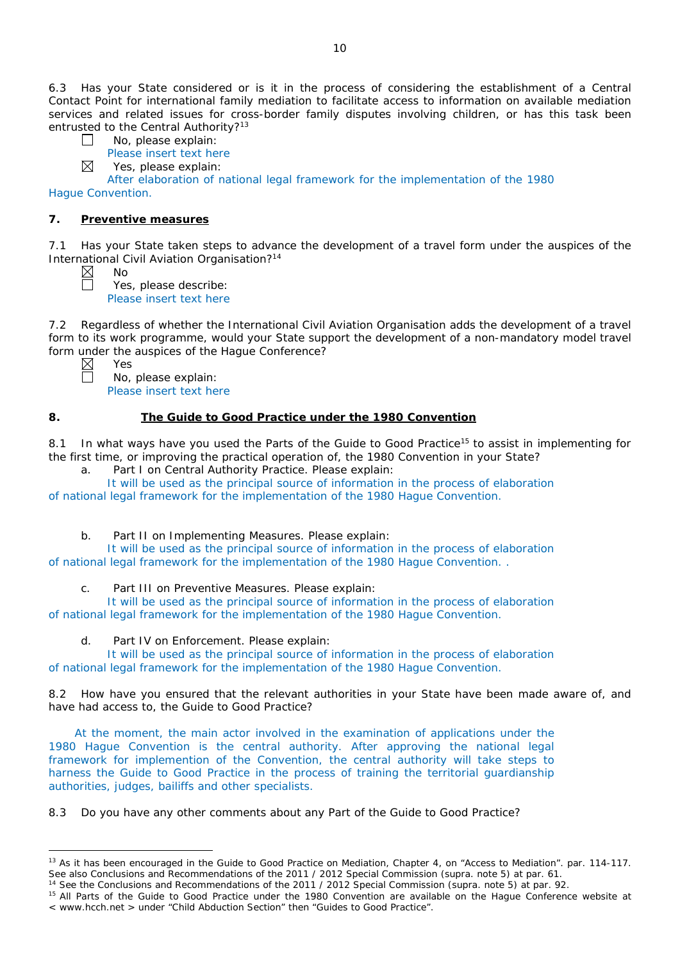6.3 Has your State considered or is it in the process of considering the establishment of a Central Contact Point for international family mediation to facilitate access to information on available mediation services and related issues for cross-border family disputes involving children, or has this task been entrusted to the Central Authority?<sup>13</sup>

- $\Box$ No, please explain:
	- Please insert text here
- ⊠ Yes, please explain:

After elaboration of national legal framework for the implementation of the 1980 Hague Convention.

## **7. Preventive measures**

No

Yes

7.1 Has your State taken steps to advance the development of a travel form under the auspices of the International Civil Aviation Organisation?14

Yes, please describe: Please insert text here

7.2 Regardless of whether the International Civil Aviation Organisation adds the development of a travel form to its work programme, would your State support the development of a non-mandatory model travel form under the auspices of the Hague Conference?

 $\overline{a}$ 

No, please explain: Please insert text here

# **8. The Guide to Good Practice under the 1980 Convention**

8.1 In what ways have you used the Parts of the Guide to Good Practice<sup>15</sup> to assist in implementing for the first time, or improving the practical operation of, the 1980 Convention in your State?

a. Part I on Central Authority Practice. Please explain:

It will be used as the principal source of information in the process of elaboration of national legal framework for the implementation of the 1980 Hague Convention.

b. Part II on Implementing Measures. Please explain:

It will be used as the principal source of information in the process of elaboration of national legal framework for the implementation of the 1980 Hague Convention. .

c. Part III on Preventive Measures. Please explain:

It will be used as the principal source of information in the process of elaboration of national legal framework for the implementation of the 1980 Hague Convention.

d. Part IV on Enforcement. Please explain:

It will be used as the principal source of information in the process of elaboration of national legal framework for the implementation of the 1980 Hague Convention.

8.2 How have you ensured that the relevant authorities in your State have been made aware of, and have had access to, the Guide to Good Practice?

At the moment, the main actor involved in the examination of applications under the 1980 Hague Convention is the central authority. After approving the national legal framework for implemention of the Convention, the central authority will take steps to harness the Guide to Good Practice in the process of training the territorial guardianship authorities, judges, bailiffs and other specialists.

8.3 Do you have any other comments about any Part of the Guide to Good Practice?

<sup>&</sup>lt;sup>13</sup> As it has been encouraged in the Guide to Good Practice on Mediation, Chapter 4, on "Access to Mediation". par. 114-117. See also [Conclusions and Recommendations of the 2011](https://assets.hcch.net/upload/wop/concl28sc6_e.pdf) / 2012 Special Commission (*supra.* note 5) at par. 61.

<sup>14</sup> See the [Conclusions and Recommendations of the 2011](https://assets.hcch.net/upload/wop/concl28sc6_e.pdf) / 2012 Special Commission (*supra.* note 5) at par. 92.

<sup>&</sup>lt;sup>15</sup> All Parts of the Guide to Good Practice under the 1980 Convention are available on the Hague Conference website at < www.hcch.net > under "Child Abduction Section" then "Guides to Good Practice".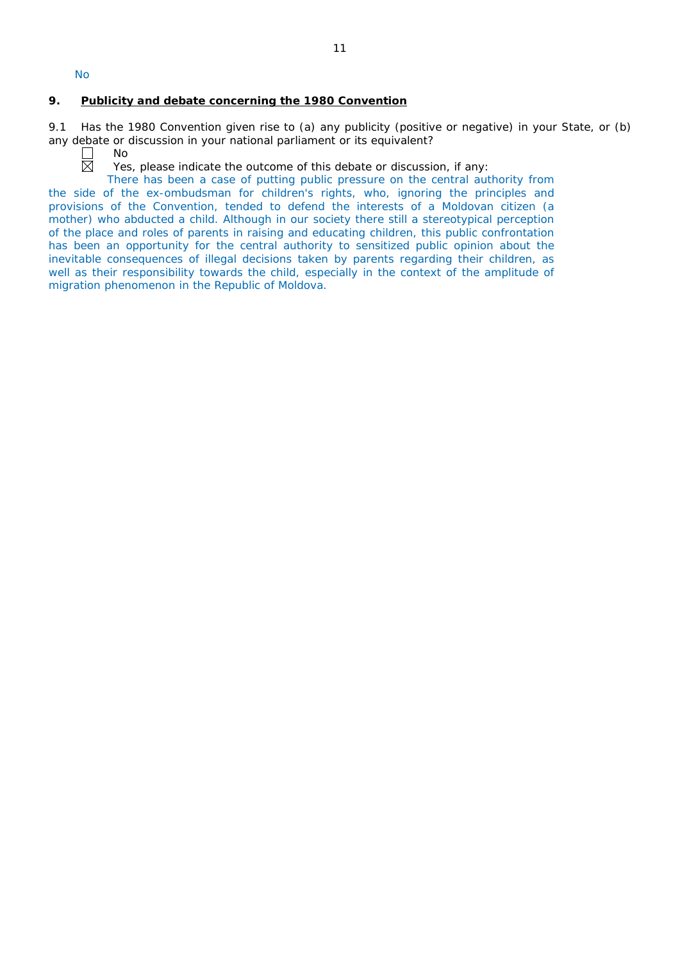No

### **9. Publicity and debate concerning the 1980 Convention**

9.1 Has the 1980 Convention given rise to (a) any publicity (positive or negative) in your State, or (b) any debate or discussion in your national parliament or its equivalent?<br>  $\square$  No<br>
Yes, please indicate the outcome of this debate or discussion<br>
Yes, please indicate the outcome of this debate or discussion

No

Yes, please indicate the outcome of this debate or discussion, if any:

There has been a case of putting public pressure on the central authority from the side of the ex-ombudsman for children's rights, who, ignoring the principles and provisions of the Convention, tended to defend the interests of a Moldovan citizen (a mother) who abducted a child. Although in our society there still a stereotypical perception of the place and roles of parents in raising and educating children, this public confrontation has been an opportunity for the central authority to sensitized public opinion about the inevitable consequences of illegal decisions taken by parents regarding their children, as well as their responsibility towards the child, especially in the context of the amplitude of migration phenomenon in the Republic of Moldova.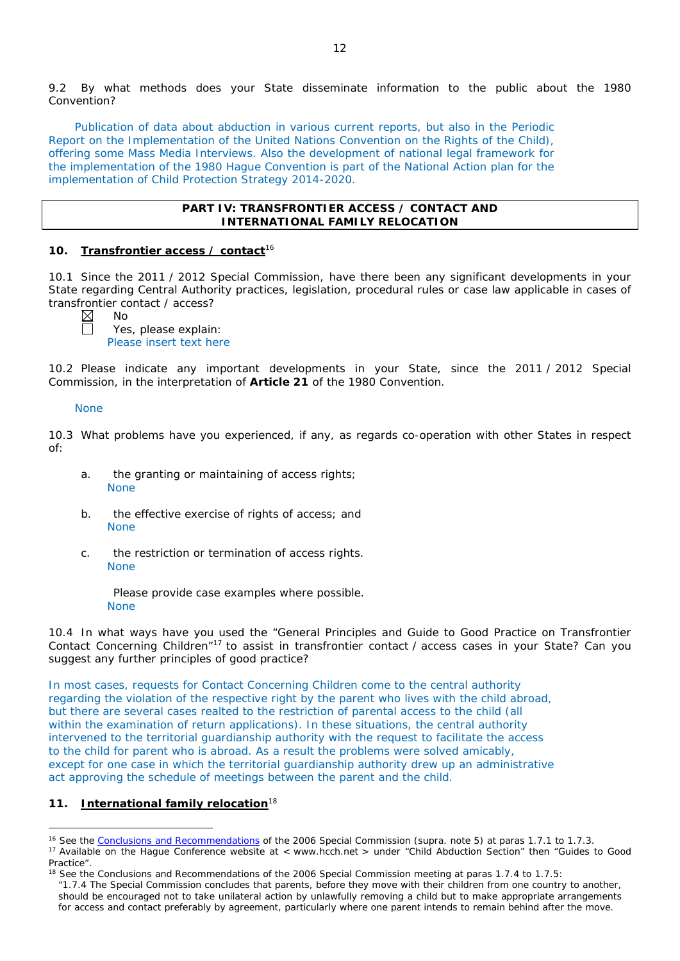9.2 By what methods does your State disseminate information to the public about the 1980 Convention?

Publication of data about abduction in various current reports, but also in the Periodic Report on the Implementation of the United Nations Convention on the Rights of the Child), offering some Mass Media Interviews. Also the development of national legal framework for the implementation of the 1980 Hague Convention is part of the National Action plan for the implementation of Child Protection Strategy 2014-2020.

#### **PART IV: TRANSFRONTIER ACCESS / CONTACT AND INTERNATIONAL FAMILY RELOCATION**

### **10. Transfrontier access / contact**<sup>16</sup>

10.1 Since the 2011 / 2012 Special Commission, have there been any significant developments in your State regarding Central Authority practices, legislation, procedural rules or case law applicable in cases of transfrontier contact / access?

No

Yes, please explain: Please insert text here

10.2 Please indicate any important developments in your State, since the 2011 / 2012 Special Commission, in the interpretation of **Article 21** of the 1980 Convention.

#### None

10.3 What problems have you experienced, if any, as regards co-operation with other States in respect of:

- a. the granting or maintaining of access rights; None
- b. the effective exercise of rights of access; and None
- c. the restriction or termination of access rights. None

Please provide case examples where possible. None

10.4 In what ways have you used the "General Principles and Guide to Good Practice on Transfrontier Contact Concerning Children"17 to assist in transfrontier contact / access cases in your State? Can you suggest any further principles of good practice?

In most cases, requests for Contact Concerning Children come to the central authority regarding the violation of the respective right by the parent who lives with the child abroad, but there are several cases realted to the restriction of parental access to the child (all within the examination of return applications). In these situations, the central authority intervened to the territorial guardianship authority with the request to facilitate the access to the child for parent who is abroad. As a result the problems were solved amicably, except for one case in which the territorial guardianship authority drew up an administrative act approving the schedule of meetings between the parent and the child.

### **11. International family relocation**<sup>18</sup>

 $\overline{a}$ 

<sup>16</sup> See the [Conclusions and Recommendations](https://assets.hcch.net/upload/concl28sc5_e.pdf) of the 2006 Special Commission (*supra.* note 5) at paras 1.7.1 to 1.7.3. <sup>17</sup> Available on the Hague Conference website at < www.hcch.net > under "Child Abduction Section" then "Guides to Good Practice".

<sup>&</sup>lt;sup>18</sup> See the Conclusions and Recommendations of the 2006 Special Commission meeting at paras 1.7.4 to 1.7.5:

*<sup>&</sup>quot;*1.7.4 The Special Commission concludes that parents, before they move with their children from one country to another, should be encouraged not to take unilateral action by unlawfully removing a child but to make appropriate arrangements for access and contact preferably by agreement, particularly where one parent intends to remain behind after the move.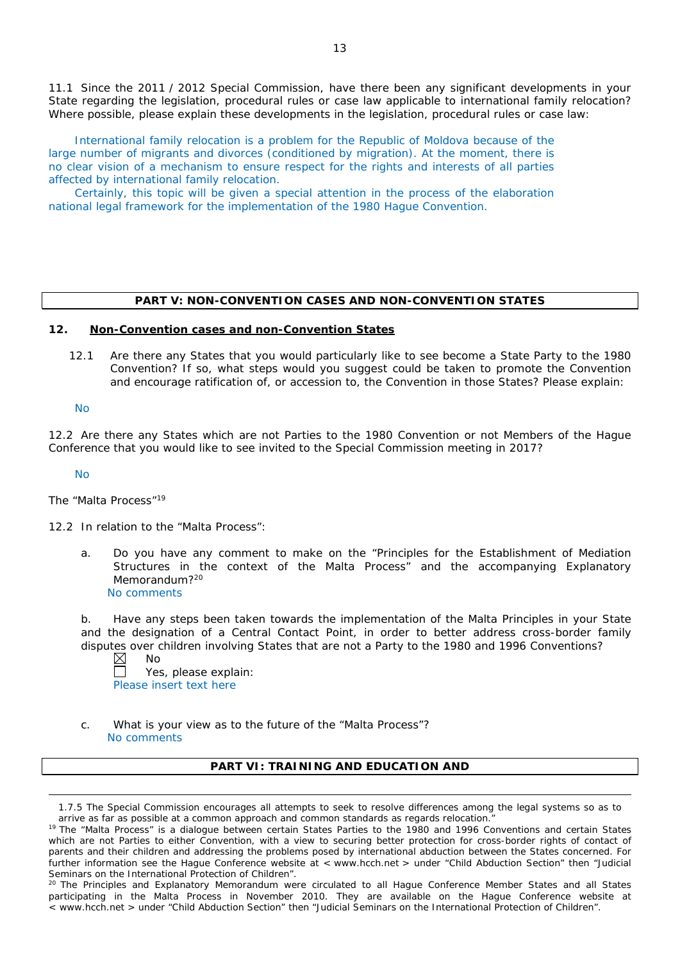11.1 Since the 2011 / 2012 Special Commission, have there been any significant developments in your State regarding the legislation, procedural rules or case law applicable to international family relocation? Where possible, please explain these developments in the legislation, procedural rules or case law:

International family relocation is a problem for the Republic of Moldova because of the large number of migrants and divorces (conditioned by migration). At the moment, there is no clear vision of a mechanism to ensure respect for the rights and interests of all parties affected by international family relocation.

Certainly, this topic will be given a special attention in the process of the elaboration national legal framework for the implementation of the 1980 Hague Convention.

#### **PART V: NON-CONVENTION CASES AND NON-CONVENTION STATES**

#### **12. Non-Convention cases and non-Convention States**

12.1 Are there any States that you would particularly like to see become a State Party to the 1980 Convention? If so, what steps would you suggest could be taken to promote the Convention and encourage ratification of, or accession to, the Convention in those States? Please explain:

No

12.2 Are there any States which are not Parties to the 1980 Convention or not Members of the Hague Conference that you would like to see invited to the Special Commission meeting in 2017?

No

 $\overline{a}$ 

#### *The "Malta Process"*<sup>19</sup>

12.2 In relation to the "Malta Process":

a. Do you have any comment to make on the "Principles for the Establishment of Mediation Structures in the context of the Malta Process" and the accompanying Explanatory Memorandum?<sup>20</sup> No comments

b. Have any steps been taken towards the implementation of the Malta Principles in your State and the designation of a Central Contact Point, in order to better address cross-border family disputes over children involving States that are not a Party to the 1980 and 1996 Conventions?

No

Yes, please explain: Please insert text here

c. What is your view as to the future of the "Malta Process"? No comments

### **PART VI: TRAINING AND EDUCATION AND**

1.7.5 The Special Commission encourages all attempts to seek to resolve differences among the legal systems so as to arrive as far as possible at a common approach and common standards as regards relocation."

<sup>&</sup>lt;sup>19</sup> The "Malta Process" is a dialoque between certain States Parties to the 1980 and 1996 Conventions and certain States which are not Parties to either Convention, with a view to securing better protection for cross-border rights of contact of parents and their children and addressing the problems posed by international abduction between the States concerned. For further information see the Hague Conference website at < www.hcch.net > under "Child Abduction Section" then "Judicial Seminars on the International Protection of Children".

<sup>&</sup>lt;sup>20</sup> The Principles and Explanatory Memorandum were circulated to all Hague Conference Member States and all States participating in the Malta Process in November 2010. They are available on the Hague Conference website at < www.hcch.net > under "Child Abduction Section" then "Judicial Seminars on the International Protection of Children".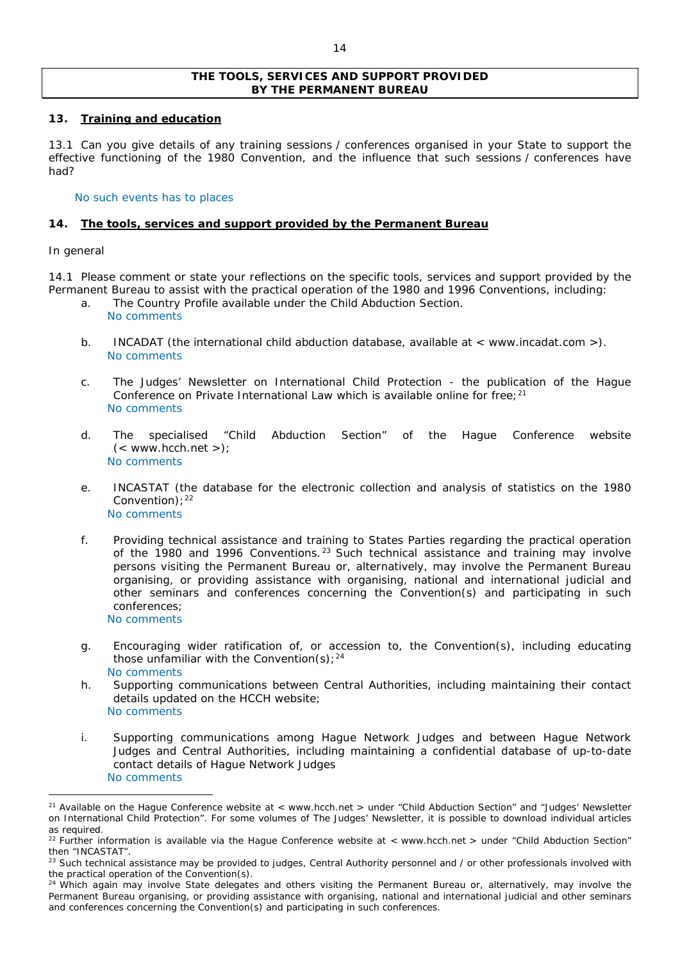### **THE TOOLS, SERVICES AND SUPPORT PROVIDED BY THE PERMANENT BUREAU**

### **13. Training and education**

13.1 Can you give details of any training sessions / conferences organised in your State to support the effective functioning of the 1980 Convention, and the influence that such sessions / conferences have had?

### No such events has to places

### **14. The tools, services and support provided by the Permanent Bureau**

### *In general*

 $\overline{a}$ 

14.1 Please comment or state your reflections on the specific tools, services and support provided by the Permanent Bureau to assist with the practical operation of the 1980 and 1996 Conventions, including:

- a. The Country Profile available under the Child Abduction Section.
	- No comments
- b. INCADAT (the international child abduction database, available at < www.incadat.com >). No comments
- c. *The Judges' Newsletter* on International Child Protection the publication of the Hague Conference on Private International Law which is available online for free;<sup>21</sup> No comments
- d. The specialised "Child Abduction Section" of the Hague Conference website  $(<$  www.hcch.net >); No comments
- e. INCASTAT (the database for the electronic collection and analysis of statistics on the 1980 Convention):  $22$ No comments
- f. Providing technical assistance and training to States Parties regarding the practical operation of the 1980 and 1996 Conventions.<sup>23</sup> Such technical assistance and training may involve persons visiting the Permanent Bureau or, alternatively, may involve the Permanent Bureau organising, or providing assistance with organising, national and international judicial and other seminars and conferences concerning the Convention(s) and participating in such conferences; No comments
- g. Encouraging wider ratification of, or accession to, the Convention(s), including educating those unfamiliar with the Convention(s);  $24$ No comments
- h. Supporting communications between Central Authorities, including maintaining their contact details updated on the HCCH website; No comments
- i. Supporting communications among Hague Network Judges and between Hague Network Judges and Central Authorities, including maintaining a confidential database of up-to-date contact details of Hague Network Judges No comments

<sup>&</sup>lt;sup>21</sup> Available on the Hague Conference website at < www.hcch.net > under "Child Abduction Section" and "Judges' Newsletter on International Child Protection". For some volumes of *The Judges' Newsletter*, it is possible to download individual articles as required.

 $22$  Further information is available via the Haque Conference website at < www.hcch.net > under "Child Abduction Section" then "INCASTAT".

<sup>&</sup>lt;sup>23</sup> Such technical assistance may be provided to judges, Central Authority personnel and / or other professionals involved with the practical operation of the Convention(s).

 $24$  Which again may involve State delegates and others visiting the Permanent Bureau or, alternatively, may involve the Permanent Bureau organising, or providing assistance with organising, national and international judicial and other seminars and conferences concerning the Convention(s) and participating in such conferences.